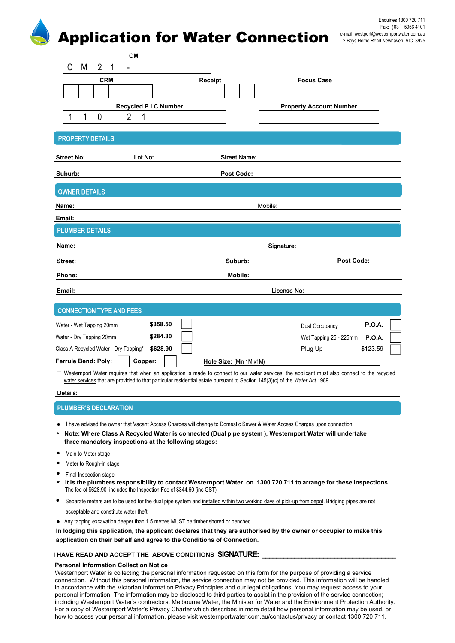# Application for Water Connection

| ш                                     |                       |                         |             |                                |               |
|---------------------------------------|-----------------------|-------------------------|-------------|--------------------------------|---------------|
|                                       | <b>CM</b>             |                         |             |                                |               |
| $\overline{2}$<br>C<br>M              | 1<br>۰                |                         |             |                                |               |
| <b>CRM</b>                            |                       | Receipt                 |             | <b>Focus Case</b>              |               |
|                                       |                       |                         |             |                                |               |
|                                       | Recycled P.I.C Number |                         |             | <b>Property Account Number</b> |               |
| 1<br>0<br>1                           | $\overline{2}$<br>1   |                         |             |                                |               |
|                                       |                       |                         |             |                                |               |
| <b>PROPERTY DETAILS</b>               |                       |                         |             |                                |               |
| <b>Street No:</b>                     | Lot No:               | <b>Street Name:</b>     |             |                                |               |
|                                       |                       |                         |             |                                |               |
| Suburb:                               |                       | <b>Post Code:</b>       |             |                                |               |
| <b>OWNER DETAILS</b>                  |                       |                         |             |                                |               |
|                                       |                       |                         |             |                                |               |
| Name:                                 |                       |                         | Mobile:     |                                |               |
| Email:                                |                       |                         |             |                                |               |
| <b>PLUMBER DETAILS</b>                |                       |                         |             |                                |               |
| Name:                                 | Signature:            |                         |             |                                |               |
| Street:                               |                       | Suburb:                 |             | <b>Post Code:</b>              |               |
| Phone:                                |                       | Mobile:                 |             |                                |               |
|                                       |                       |                         |             |                                |               |
| Email:                                |                       |                         | License No: |                                |               |
| <b>CONNECTION TYPE AND FEES</b>       |                       |                         |             |                                |               |
| Water - Wet Tapping 20mm              | \$358.50              |                         |             | Dual Occupancy                 | <b>P.O.A.</b> |
| Water - Dry Tapping 20mm              | \$284.30              |                         |             | Wet Tapping 25 - 225mm         | <b>P.O.A.</b> |
| Class A Recycled Water - Dry Tapping* | \$628.90              |                         |             | Plug Up                        | \$123.59      |
| Ferrule Bend: Poly:                   | Copper:               | Hole Size: (Min 1M x1M) |             |                                |               |
|                                       |                       |                         |             |                                |               |

**\*** Westernport Water requires that when an application is made to connect to our water services, the applicant must also connect to the recycled water services that are provided to that particular residential estate pursuant to Section 145(3)(c) of the *Water Act* 1989.

## Details:

# **PLUMBER'S DECLARATION**

- I have advised the owner that Vacant Access Charges will change to Domestic Sewer & Water Access Charges upon connection.
- **\* Note: Where Class A Recycled Water is connected (Dual pipe system ), Westernport Water will undertake three mandatory inspections at the following stages:**
- Main to Meter stage
- Meter to Rough-in stage
- Final Inspection stage
- \* It is the plumbers responsibility to contact Westernport Water on 1300 720 711 to arrange for these inspections.<br>■ 2011.00 2021.00 2021.00 2021.00 2022.00 2022.00 2022.00 2022.00 2022.00 2022.00 2022 The fee of \$628.90 includes the Inspection Fee of \$344.60 (inc GST)
- Separate meters are to be used for the dual pipe system and installed within two working days of pick-up from depot. Bridging pipes are not acceptable and constitute water theft.
- Any tapping excavation deeper than 1.5 metres MUST be timber shored or benched

**In lodging this application, the applicant declares that they are authorised by the owner or occupier to make this application on their behalf and agree to the Conditions of Connection.**

## **I HAVE READ AND ACCEPT THE ABOVE CONDITIONS SIGNATURE: \_\_\_\_\_\_\_\_\_\_\_\_\_\_\_\_\_\_\_\_\_\_\_\_\_\_\_\_\_\_\_\_\_\_\_\_\_**

## **Personal Information Collection Notice**

Westernport Water is collecting the personal information requested on this form for the purpose of providing a service connection. Without this personal information, the service connection may not be provided. This information will be handled in accordance with the Victorian Information Privacy Principles and our legal obligations. You may request access to your personal information. The information may be disclosed to third parties to assist in the provision of the service connection; including Westernport Water's contractors, Melbourne Water, the Minister for Water and the Environment Protection Authority. For a copy of Westernport Water's Privacy Charter which describes in more detail how personal information may be used, or how to access your personal information, please visit westernportwater.com.au/contactus/privacy or contact 1300 720 711.